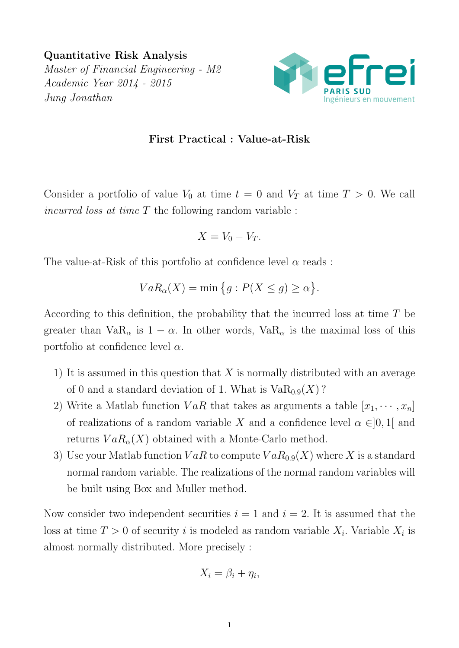Quantitative Risk Analysis Master of Financial Engineering - M2 Academic Year 2014 - 2015 Jung Jonathan



## First Practical : Value-at-Risk

Consider a portfolio of value  $V_0$  at time  $t = 0$  and  $V_T$  at time  $T > 0$ . We call incurred loss at time  $T$  the following random variable :

$$
X = V_0 - V_T.
$$

The value-at-Risk of this portfolio at confidence level  $\alpha$  reads:

$$
VaR_{\alpha}(X) = \min\big\{g: P(X \le g) \ge \alpha\big\}.
$$

According to this definition, the probability that the incurred loss at time T be greater than  $VaR_{\alpha}$  is  $1 - \alpha$ . In other words,  $VaR_{\alpha}$  is the maximal loss of this portfolio at confidence level  $\alpha$ .

- 1) It is assumed in this question that  $X$  is normally distributed with an average of 0 and a standard deviation of 1. What is  $VaR_{0.9}(X)$ ?
- 2) Write a Matlab function  $VaR$  that takes as arguments a table  $|x_1, \dots, x_n|$ of realizations of a random variable X and a confidence level  $\alpha \in ]0,1[$  and returns  $VaR_{\alpha}(X)$  obtained with a Monte-Carlo method.
- 3) Use your Matlab function  $VaR$  to compute  $VaR_{0.9}(X)$  where X is a standard normal random variable. The realizations of the normal random variables will be built using Box and Muller method.

Now consider two independent securities  $i = 1$  and  $i = 2$ . It is assumed that the loss at time  $T > 0$  of security i is modeled as random variable  $X_i$ . Variable  $X_i$  is almost normally distributed. More precisely :

$$
X_i = \beta_i + \eta_i,
$$